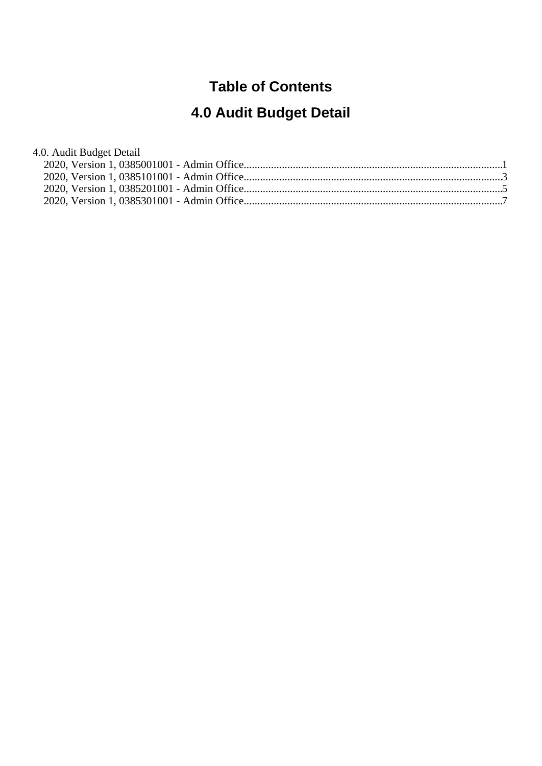# **Table of Contents**

# **4.0 Audit Budget Detail**

| 4.0. Audit Budget Detail |  |
|--------------------------|--|
|                          |  |
|                          |  |
|                          |  |
|                          |  |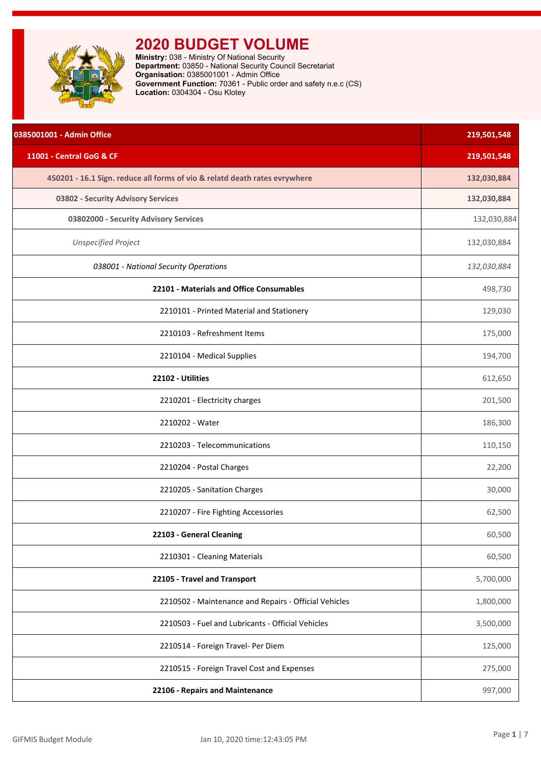<span id="page-1-0"></span>

**Ministry:** 038 - Ministry Of National Security **Department:** 03850 - National Security Council Secretariat **Organisation:** 0385001001 - Admin Office **Government Function:** 70361 - Public order and safety n.e.c (CS) **Location:** 0304304 - Osu Klotey

| 0385001001 - Admin Office                                                  | 219,501,548 |
|----------------------------------------------------------------------------|-------------|
| 11001 - Central GoG & CF                                                   | 219,501,548 |
| 450201 - 16.1 Sign. reduce all forms of vio & relatd death rates evrywhere | 132,030,884 |
| 03802 - Security Advisory Services                                         | 132,030,884 |
| 03802000 - Security Advisory Services                                      | 132,030,884 |
| <b>Unspecified Project</b>                                                 | 132,030,884 |
| 038001 - National Security Operations                                      | 132,030,884 |
| 22101 - Materials and Office Consumables                                   | 498,730     |
| 2210101 - Printed Material and Stationery                                  | 129,030     |
| 2210103 - Refreshment Items                                                | 175,000     |
| 2210104 - Medical Supplies                                                 | 194,700     |
| 22102 - Utilities                                                          | 612,650     |
| 2210201 - Electricity charges                                              | 201,500     |
| 2210202 - Water                                                            | 186,300     |
| 2210203 - Telecommunications                                               | 110,150     |
| 2210204 - Postal Charges                                                   | 22,200      |
| 2210205 - Sanitation Charges                                               | 30,000      |
| 2210207 - Fire Fighting Accessories                                        | 62,500      |
| 22103 - General Cleaning                                                   | 60,500      |
| 2210301 - Cleaning Materials                                               | 60,500      |
| 22105 - Travel and Transport                                               | 5,700,000   |
| 2210502 - Maintenance and Repairs - Official Vehicles                      | 1,800,000   |
| 2210503 - Fuel and Lubricants - Official Vehicles                          | 3,500,000   |
| 2210514 - Foreign Travel- Per Diem                                         | 125,000     |
| 2210515 - Foreign Travel Cost and Expenses                                 | 275,000     |
| 22106 - Repairs and Maintenance                                            | 997,000     |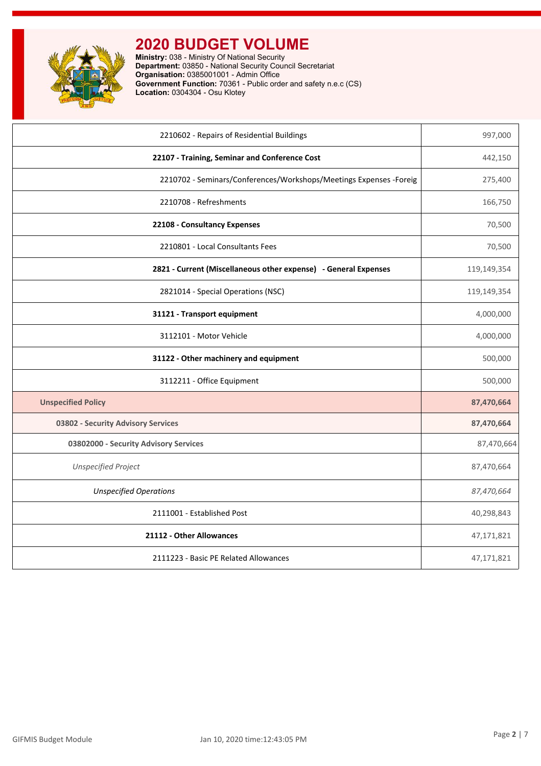

**Ministry:** 038 - Ministry Of National Security **Department:** 03850 - National Security Council Secretariat **Organisation:** 0385001001 - Admin Office **Government Function:** 70361 - Public order and safety n.e.c (CS) **Location:** 0304304 - Osu Klotey

| 2210602 - Repairs of Residential Buildings                         | 997,000     |
|--------------------------------------------------------------------|-------------|
| 22107 - Training, Seminar and Conference Cost                      | 442,150     |
| 2210702 - Seminars/Conferences/Workshops/Meetings Expenses -Foreig | 275,400     |
| 2210708 - Refreshments                                             | 166,750     |
| 22108 - Consultancy Expenses                                       | 70,500      |
| 2210801 - Local Consultants Fees                                   | 70,500      |
| 2821 - Current (Miscellaneous other expense) - General Expenses    | 119,149,354 |
| 2821014 - Special Operations (NSC)                                 | 119,149,354 |
| 31121 - Transport equipment                                        | 4,000,000   |
| 3112101 - Motor Vehicle                                            | 4,000,000   |
| 31122 - Other machinery and equipment                              | 500,000     |
| 3112211 - Office Equipment                                         | 500,000     |
| <b>Unspecified Policy</b>                                          | 87,470,664  |
| 03802 - Security Advisory Services                                 | 87,470,664  |
| 03802000 - Security Advisory Services                              | 87,470,664  |
| <b>Unspecified Project</b>                                         | 87,470,664  |
| <b>Unspecified Operations</b>                                      | 87,470,664  |
| 2111001 - Established Post                                         | 40,298,843  |
| 21112 - Other Allowances                                           | 47,171,821  |
| 2111223 - Basic PE Related Allowances                              | 47,171,821  |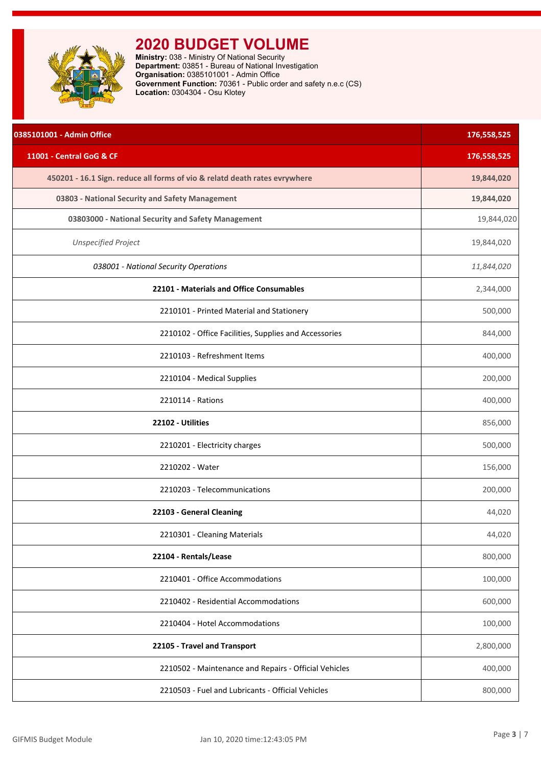<span id="page-3-0"></span>

**Ministry:** 038 - Ministry Of National Security **Department:** 03851 - Bureau of National Investigation **Organisation:** 0385101001 - Admin Office **Government Function:** 70361 - Public order and safety n.e.c (CS) **Location:** 0304304 - Osu Klotey

| 0385101001 - Admin Office                                                  | 176,558,525 |
|----------------------------------------------------------------------------|-------------|
| 11001 - Central GoG & CF                                                   | 176,558,525 |
| 450201 - 16.1 Sign. reduce all forms of vio & relatd death rates evrywhere | 19,844,020  |
| 03803 - National Security and Safety Management                            | 19,844,020  |
| 03803000 - National Security and Safety Management                         | 19,844,020  |
| <b>Unspecified Project</b>                                                 | 19,844,020  |
| 038001 - National Security Operations                                      | 11,844,020  |
| 22101 - Materials and Office Consumables                                   | 2,344,000   |
| 2210101 - Printed Material and Stationery                                  | 500,000     |
| 2210102 - Office Facilities, Supplies and Accessories                      | 844,000     |
| 2210103 - Refreshment Items                                                | 400,000     |
| 2210104 - Medical Supplies                                                 | 200,000     |
| 2210114 - Rations                                                          | 400,000     |
| 22102 - Utilities                                                          | 856,000     |
| 2210201 - Electricity charges                                              | 500,000     |
| 2210202 - Water                                                            | 156,000     |
| 2210203 - Telecommunications                                               | 200,000     |
| 22103 - General Cleaning                                                   | 44,020      |
| 2210301 - Cleaning Materials                                               | 44,020      |
| 22104 - Rentals/Lease                                                      | 800,000     |
| 2210401 - Office Accommodations                                            | 100,000     |
| 2210402 - Residential Accommodations                                       | 600,000     |
| 2210404 - Hotel Accommodations                                             | 100,000     |
| 22105 - Travel and Transport                                               | 2,800,000   |
| 2210502 - Maintenance and Repairs - Official Vehicles                      | 400,000     |
| 2210503 - Fuel and Lubricants - Official Vehicles                          | 800,000     |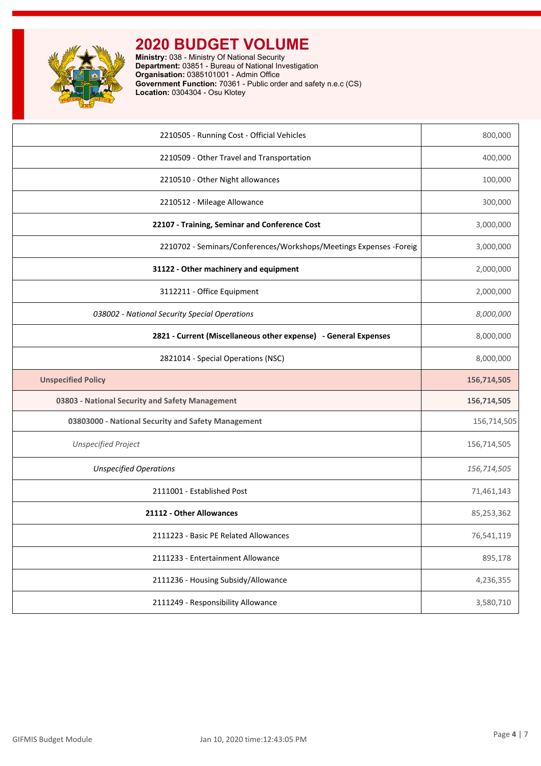

**Ministry:** 038 - Ministry Of National Security **Department:** 03851 - Bureau of National Investigation **Organisation:** 0385101001 - Admin Office **Government Function:** 70361 - Public order and safety n.e.c (CS) **Location:** 0304304 - Osu Klotey

| 2210505 - Running Cost - Official Vehicles                          | 800,000     |
|---------------------------------------------------------------------|-------------|
| 2210509 - Other Travel and Transportation                           | 400,000     |
| 2210510 - Other Night allowances                                    | 100,000     |
| 2210512 - Mileage Allowance                                         | 300,000     |
| 22107 - Training, Seminar and Conference Cost                       | 3,000,000   |
| 2210702 - Seminars/Conferences/Workshops/Meetings Expenses - Foreig | 3,000,000   |
| 31122 - Other machinery and equipment                               | 2,000,000   |
| 3112211 - Office Equipment                                          | 2,000,000   |
| 038002 - National Security Special Operations                       | 8,000,000   |
| 2821 - Current (Miscellaneous other expense) - General Expenses     | 8,000,000   |
| 2821014 - Special Operations (NSC)                                  | 8,000,000   |
| <b>Unspecified Policy</b>                                           | 156,714,505 |
| 03803 - National Security and Safety Management                     | 156,714,505 |
| 03803000 - National Security and Safety Management                  | 156,714,505 |
| <b>Unspecified Project</b>                                          | 156,714,505 |
| <b>Unspecified Operations</b>                                       | 156,714,505 |
| 2111001 - Established Post                                          | 71,461,143  |
| 21112 - Other Allowances                                            | 85,253,362  |
| 2111223 - Basic PE Related Allowances                               | 76,541,119  |
| 2111233 - Entertainment Allowance                                   | 895,178     |
| 2111236 - Housing Subsidy/Allowance                                 | 4,236,355   |
| 2111249 - Responsibility Allowance                                  | 3,580,710   |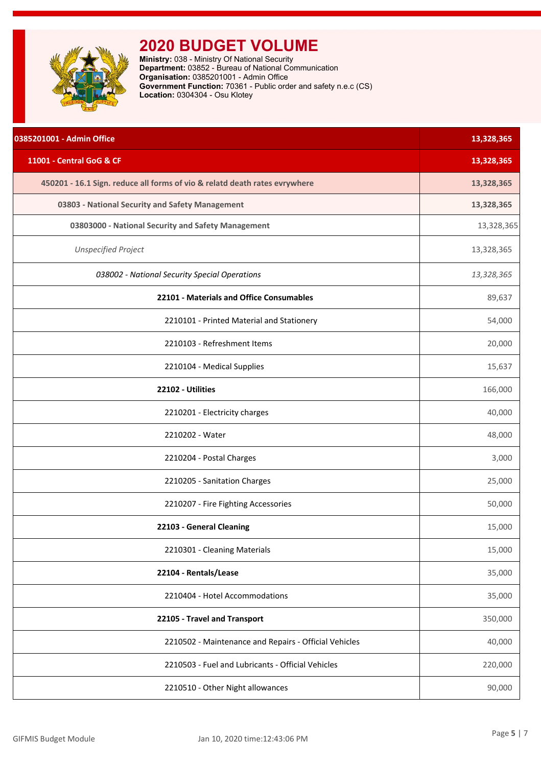<span id="page-5-0"></span>

**Ministry:** 038 - Ministry Of National Security **Department:** 03852 - Bureau of National Communication **Organisation:** 0385201001 - Admin Office **Government Function:** 70361 - Public order and safety n.e.c (CS) **Location:** 0304304 - Osu Klotey

| 0385201001 - Admin Office                                                  | 13,328,365 |
|----------------------------------------------------------------------------|------------|
| 11001 - Central GoG & CF                                                   | 13,328,365 |
| 450201 - 16.1 Sign. reduce all forms of vio & relatd death rates evrywhere | 13,328,365 |
| 03803 - National Security and Safety Management                            | 13,328,365 |
| 03803000 - National Security and Safety Management                         | 13,328,365 |
| <b>Unspecified Project</b>                                                 | 13,328,365 |
| 038002 - National Security Special Operations                              | 13,328,365 |
| 22101 - Materials and Office Consumables                                   | 89,637     |
| 2210101 - Printed Material and Stationery                                  | 54,000     |
| 2210103 - Refreshment Items                                                | 20,000     |
| 2210104 - Medical Supplies                                                 | 15,637     |
| 22102 - Utilities                                                          | 166,000    |
| 2210201 - Electricity charges                                              | 40,000     |
| 2210202 - Water                                                            | 48,000     |
| 2210204 - Postal Charges                                                   | 3,000      |
| 2210205 - Sanitation Charges                                               | 25,000     |
| 2210207 - Fire Fighting Accessories                                        | 50,000     |
| 22103 - General Cleaning                                                   | 15,000     |
| 2210301 - Cleaning Materials                                               | 15,000     |
| 22104 - Rentals/Lease                                                      | 35,000     |
| 2210404 - Hotel Accommodations                                             | 35,000     |
| 22105 - Travel and Transport                                               | 350,000    |
| 2210502 - Maintenance and Repairs - Official Vehicles                      | 40,000     |
| 2210503 - Fuel and Lubricants - Official Vehicles                          | 220,000    |
| 2210510 - Other Night allowances                                           | 90,000     |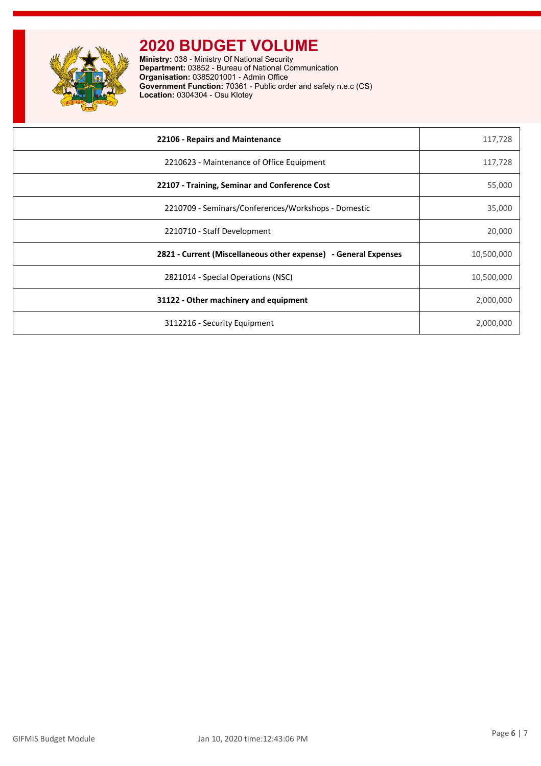

**Ministry:** 038 - Ministry Of National Security **Department:** 03852 - Bureau of National Communication **Organisation:** 0385201001 - Admin Office **Government Function:** 70361 - Public order and safety n.e.c (CS) **Location:** 0304304 - Osu Klotey

| 22106 - Repairs and Maintenance                                 | 117,728    |
|-----------------------------------------------------------------|------------|
| 2210623 - Maintenance of Office Equipment                       | 117,728    |
| 22107 - Training, Seminar and Conference Cost                   | 55,000     |
| 2210709 - Seminars/Conferences/Workshops - Domestic             | 35,000     |
| 2210710 - Staff Development                                     | 20,000     |
| 2821 - Current (Miscellaneous other expense) - General Expenses | 10,500,000 |
| 2821014 - Special Operations (NSC)                              | 10,500,000 |
| 31122 - Other machinery and equipment                           | 2,000,000  |
| 3112216 - Security Equipment                                    | 2,000,000  |